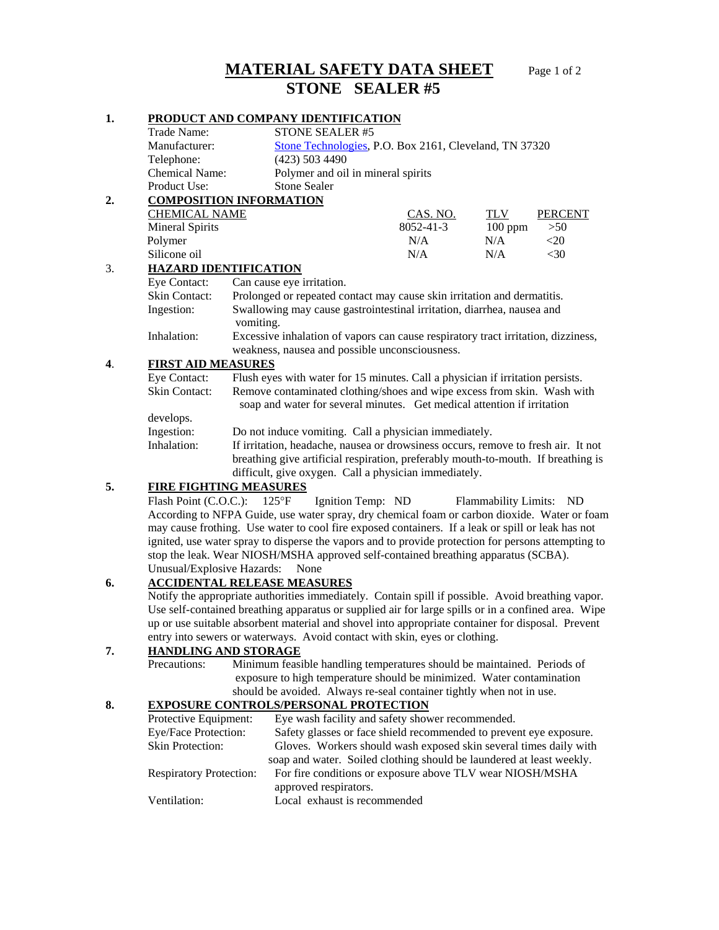# **MATERIAL SAFETY DATA SHEET** Page 1 of 2  **STONE SEALER #5**

#### **1. PRODUCT AND COMPANY IDENTIFICATION**

|    | Trade Name:                    |                                                                                                                                                                                                                                 |                           | <b>STONE SEALER #5</b>                                 |                 |                             |           |  |  |
|----|--------------------------------|---------------------------------------------------------------------------------------------------------------------------------------------------------------------------------------------------------------------------------|---------------------------|--------------------------------------------------------|-----------------|-----------------------------|-----------|--|--|
|    | Manufacturer:                  |                                                                                                                                                                                                                                 |                           | Stone Technologies, P.O. Box 2161, Cleveland, TN 37320 |                 |                             |           |  |  |
|    | Telephone:                     |                                                                                                                                                                                                                                 |                           | (423) 503 4490                                         |                 |                             |           |  |  |
|    | <b>Chemical Name:</b>          |                                                                                                                                                                                                                                 |                           | Polymer and oil in mineral spirits                     |                 |                             |           |  |  |
|    | Product Use:                   |                                                                                                                                                                                                                                 |                           | <b>Stone Sealer</b>                                    |                 |                             |           |  |  |
|    | <b>COMPOSITION INFORMATION</b> |                                                                                                                                                                                                                                 |                           |                                                        |                 |                             |           |  |  |
|    | <b>CHEMICAL NAME</b>           |                                                                                                                                                                                                                                 |                           | <b>CAS. NO.</b>                                        | TLV             | <b>PERCENT</b>              |           |  |  |
|    | <b>Mineral Spirits</b>         |                                                                                                                                                                                                                                 |                           |                                                        | $8052 - 41 - 3$ | $100$ ppm                   | >50       |  |  |
|    | Polymer                        |                                                                                                                                                                                                                                 |                           |                                                        | N/A             | N/A                         | $<$ 20    |  |  |
|    | Silicone oil                   |                                                                                                                                                                                                                                 |                           |                                                        | N/A             | N/A                         | $<$ 30    |  |  |
| 3. | <b>HAZARD IDENTIFICATION</b>   |                                                                                                                                                                                                                                 |                           |                                                        |                 |                             |           |  |  |
|    | Eye Contact:                   |                                                                                                                                                                                                                                 | Can cause eye irritation. |                                                        |                 |                             |           |  |  |
|    | Skin Contact:                  | Prolonged or repeated contact may cause skin irritation and dermatitis.                                                                                                                                                         |                           |                                                        |                 |                             |           |  |  |
|    | Ingestion:                     | Swallowing may cause gastrointestinal irritation, diarrhea, nausea and<br>vomiting.                                                                                                                                             |                           |                                                        |                 |                             |           |  |  |
|    | Inhalation:                    | Excessive inhalation of vapors can cause respiratory tract irritation, dizziness,<br>weakness, nausea and possible unconsciousness.                                                                                             |                           |                                                        |                 |                             |           |  |  |
| 4. | <b>FIRST AID MEASURES</b>      |                                                                                                                                                                                                                                 |                           |                                                        |                 |                             |           |  |  |
|    | Eye Contact:                   | Flush eyes with water for 15 minutes. Call a physician if irritation persists.                                                                                                                                                  |                           |                                                        |                 |                             |           |  |  |
|    | <b>Skin Contact:</b>           | Remove contaminated clothing/shoes and wipe excess from skin. Wash with<br>soap and water for several minutes. Get medical attention if irritation                                                                              |                           |                                                        |                 |                             |           |  |  |
|    | develops.                      |                                                                                                                                                                                                                                 |                           |                                                        |                 |                             |           |  |  |
|    | Ingestion:                     | Do not induce vomiting. Call a physician immediately.                                                                                                                                                                           |                           |                                                        |                 |                             |           |  |  |
|    | Inhalation:                    | If irritation, headache, nausea or drowsiness occurs, remove to fresh air. It not<br>breathing give artificial respiration, preferably mouth-to-mouth. If breathing is<br>difficult, give oxygen. Call a physician immediately. |                           |                                                        |                 |                             |           |  |  |
| 5. | <b>FIRE FIGHTING MEASURES</b>  |                                                                                                                                                                                                                                 |                           |                                                        |                 |                             |           |  |  |
|    | Flash Point (C.O.C.):          |                                                                                                                                                                                                                                 | $125^{\circ}F$            | Ignition Temp: ND                                      |                 | <b>Flammability Limits:</b> | <b>ND</b> |  |  |

According to NFPA Guide, use water spray, dry chemical foam or carbon dioxide. Water or foam may cause frothing. Use water to cool fire exposed containers. If a leak or spill or leak has not ignited, use water spray to disperse the vapors and to provide protection for persons attempting to stop the leak. Wear NIOSH/MSHA approved self-contained breathing apparatus (SCBA). Unusual/Explosive Hazards: None

## **6. ACCIDENTAL RELEASE MEASURES**

Notify the appropriate authorities immediately. Contain spill if possible. Avoid breathing vapor. Use self- contained breathing apparatus or supplied air for large spills or in a confined area. Wipe up or use suitable absorbent material and shovel into appropriate container for disposal. Prevent entry into sewers or waterways. Avoid contact with skin, eyes or clothing.

### **7. HANDLING AND STORAGE**

Precautions: Minimum feasible handling temperatures should be maintained. Periods of exposure to high temperature should be minimized. Water contamination should be avoided. Always re-seal container tightly when not in use.

# **8. EXPOSURE CONTROLS/PERSONAL PROTECTION**

| Eye wash facility and safety shower recommended.                     |
|----------------------------------------------------------------------|
| Safety glasses or face shield recommended to prevent eye exposure.   |
| Gloves. Workers should wash exposed skin several times daily with    |
| soap and water. Soiled clothing should be laundered at least weekly. |
| For fire conditions or exposure above TLV wear NIOSH/MSHA            |
| approved respirators.                                                |
| Local exhaust is recommended                                         |
|                                                                      |